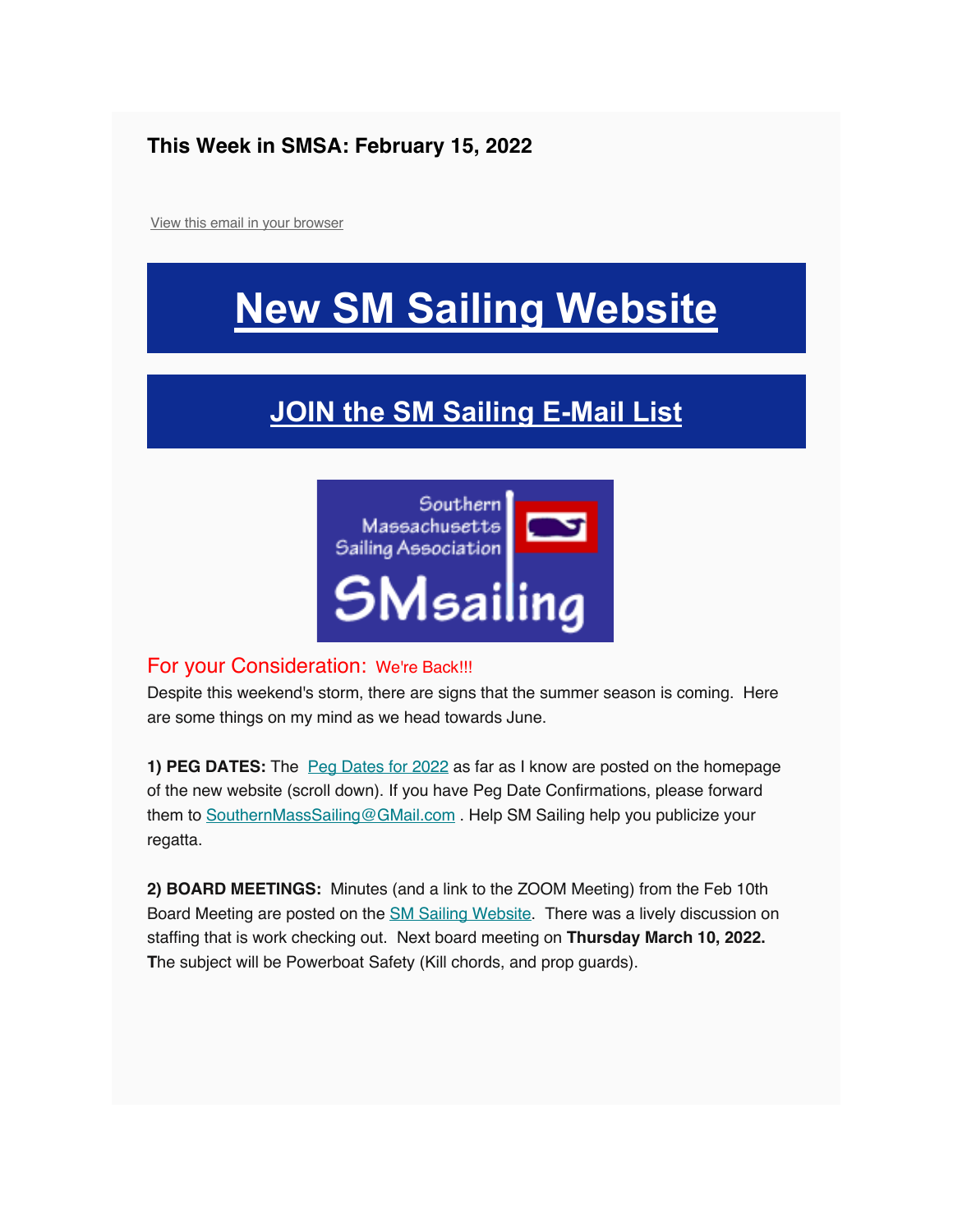#### **This Week in SMSA: February 15, 2022**

View this email in your browser

## **New SM Sailing Website**

### **JOIN the SM Sailing E-Mail List**



#### For your Consideration: We're Back!!!

Despite this weekend's storm, there are signs that the summer season is coming. Here are some things on my mind as we head towards June.

**1) PEG DATES:** The **Peg Dates for 2022** as far as I know are posted on the homepage of the new website (scroll down). If you have Peg Date Confirmations, please forward them to SouthernMassSailing@GMail.com . Help SM Sailing help you publicize your regatta.

**2) BOARD MEETINGS:** Minutes (and a link to the ZOOM Meeting) from the Feb 10th Board Meeting are posted on the **SM Sailing Website**. There was a lively discussion on staffing that is work checking out. Next board meeting on **Thursday March 10, 2022. T**he subject will be Powerboat Safety (Kill chords, and prop guards).